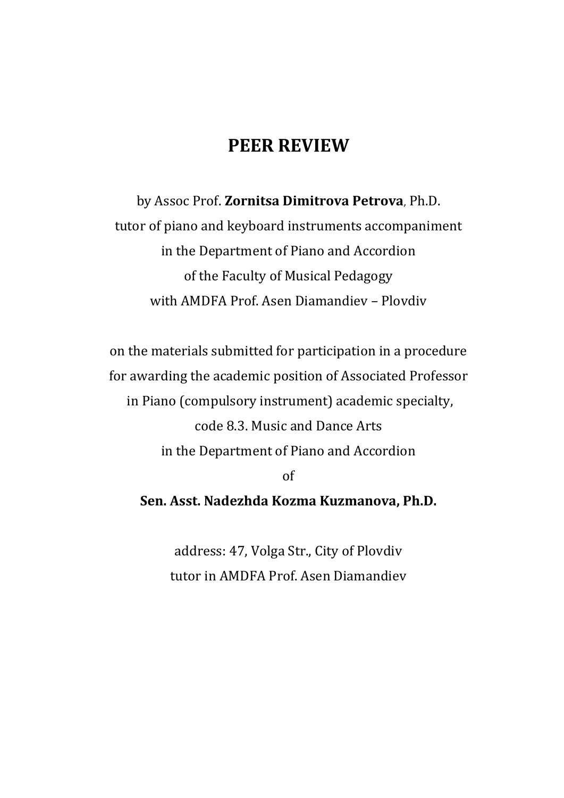## **PEER REVIEW**

by Assoc Prof. **Zornitsa Dimitrova Petrova**, Ph.D. tutor of piano and keyboard instruments accompaniment in the Department of Piano and Accordion of the Faculty of Musical Pedagogy with AMDFA Prof. Asen Diamandiev – Plovdiv

on the materials submitted for participation in a procedure for awarding the academic position of Associated Professor in Piano (compulsory instrument) academic specialty, code 8.3. Music and Dance Arts in the Department of Piano and Accordion of

**Sen. Asst. Nadezhda Kozma Kuzmanova, Ph.D.**

address: 47, Volga Str., City of Plovdiv tutor in AMDFA Prof. Asen Diamandiev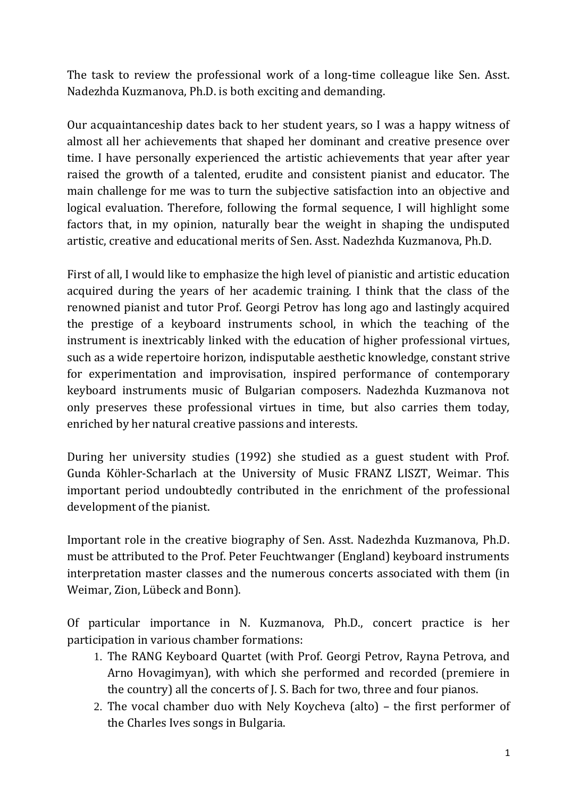The task to review the professional work of a long-time colleague like Sen. Asst. Nadezhda Kuzmanova, Ph.D. is both exciting and demanding.

Our acquaintanceship dates back to her student years, so I was a happy witness of almost all her achievements that shaped her dominant and creative presence over time. I have personally experienced the artistic achievements that year after year raised the growth of a talented, erudite and consistent pianist and educator. The main challenge for me was to turn the subjective satisfaction into an objective and logical evaluation. Therefore, following the formal sequence, I will highlight some factors that, in my opinion, naturally bear the weight in shaping the undisputed artistic, creative and educational merits of Sen. Asst. Nadezhda Kuzmanova, Ph.D.

First of all, I would like to emphasize the high level of pianistic and artistic education acquired during the years of her academic training. I think that the class of the renowned pianist and tutor Prof. Georgi Petrov has long ago and lastingly acquired the prestige of a keyboard instruments school, in which the teaching of the instrument is inextricably linked with the education of higher professional virtues, such as a wide repertoire horizon, indisputable aesthetic knowledge, constant strive for experimentation and improvisation, inspired performance of contemporary keyboard instruments music of Bulgarian composers. Nadezhda Kuzmanova not only preserves these professional virtues in time, but also carries them today, enriched by her natural creative passions and interests.

During her university studies (1992) she studied as a guest student with Prof. Gunda Köhler-Scharlach at the University of Music FRANZ LISZT, Weimar. This important period undoubtedly contributed in the enrichment of the professional development of the pianist.

Important role in the creative biography of Sen. Asst. Nadezhda Kuzmanova, Ph.D. must be attributed to the Prof. Peter Feuchtwanger (England) keyboard instruments interpretation master classes and the numerous concerts associated with them (in Weimar, Zion, Lübeck and Bonn).

Of particular importance in N. Kuzmanova, Ph.D., concert practice is her participation in various chamber formations:

- 1. The RANG Keyboard Quartet (with Prof. Georgi Petrov, Rayna Petrova, and Arno Hovagimyan), with which she performed and recorded (premiere in the country) all the concerts of J. S. Bach for two, three and four pianos.
- 2. The vocal chamber duo with Nely Koycheva (alto) the first performer of the Charles Ives songs in Bulgaria.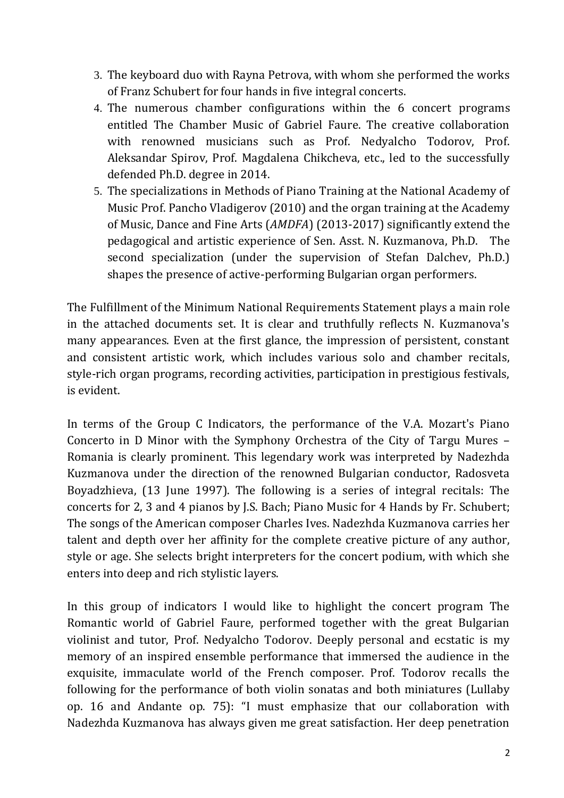- 3. The keyboard duo with Rayna Petrova, with whom she performed the works of Franz Schubert for four hands in five integral concerts.
- 4. The numerous chamber configurations within the 6 concert programs entitled The Chamber Music of Gabriel Faure. The creative collaboration with renowned musicians such as Prof. Nedyalcho Todorov, Prof. Aleksandar Spirov, Prof. Magdalena Chikcheva, etc., led to the successfully defended Ph.D. degree in 2014.
- 5. The specializations in Methods of Piano Training at the National Academy of Music Prof. Pancho Vladigerov (2010) and the organ training at the Academy of Music, Dance and Fine Arts (*AMDFA*) (2013-2017) significantly extend the pedagogical and artistic experience of Sen. Asst. N. Kuzmanova, Ph.D. The second specialization (under the supervision of Stefan Dalchev, Ph.D.) shapes the presence of active-performing Bulgarian organ performers.

The Fulfillment of the Minimum National Requirements Statement plays a main role in the attached documents set. It is clear and truthfully reflects N. Kuzmanova's many appearances. Even at the first glance, the impression of persistent, constant and consistent artistic work, which includes various solo and chamber recitals, style-rich organ programs, recording activities, participation in prestigious festivals, is evident.

In terms of the Group C Indicators, the performance of the V.A. Mozart's Piano Concerto in D Minor with the Symphony Orchestra of the City of Targu Mures – Romania is clearly prominent. This legendary work was interpreted by Nadezhda Kuzmanova under the direction of the renowned Bulgarian conductor, Radosveta Boyadzhieva, (13 June 1997). The following is a series of integral recitals: The concerts for 2, 3 and 4 pianos by J.S. Bach; Piano Music for 4 Hands by Fr. Schubert; The songs of the American composer Charles Ives. Nadezhda Kuzmanova carries her talent and depth over her affinity for the complete creative picture of any author, style or age. She selects bright interpreters for the concert podium, with which she enters into deep and rich stylistic layers.

In this group of indicators I would like to highlight the concert program The Romantic world of Gabriel Faure, performed together with the great Bulgarian violinist and tutor, Prof. Nedyalcho Todorov. Deeply personal and ecstatic is my memory of an inspired ensemble performance that immersed the audience in the exquisite, immaculate world of the French composer. Prof. Todorov recalls the following for the performance of both violin sonatas and both miniatures (Lullaby op. 16 and Andante op. 75): "I must emphasize that our collaboration with Nadezhda Kuzmanova has always given me great satisfaction. Her deep penetration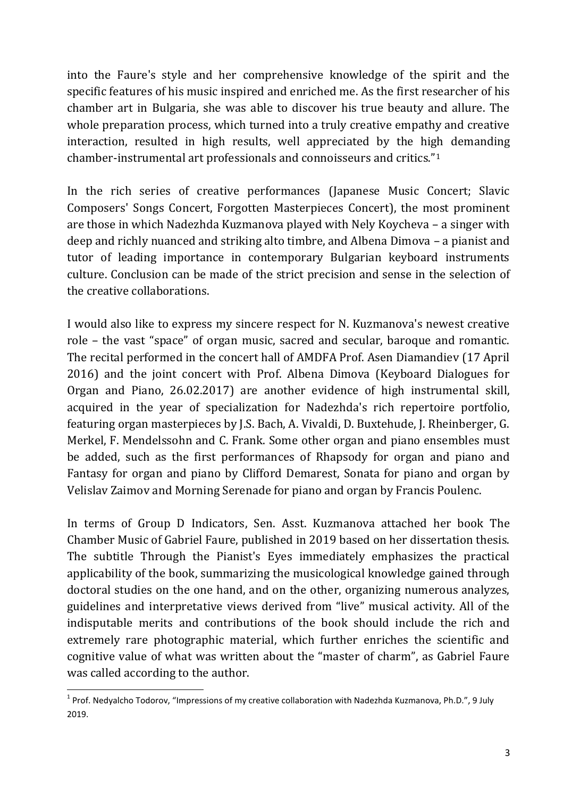into the Faure's style and her comprehensive knowledge of the spirit and the specific features of his music inspired and enriched me. As the first researcher of his chamber art in Bulgaria, she was able to discover his true beauty and allure. The whole preparation process, which turned into a truly creative empathy and creative interaction, resulted in high results, well appreciated by the high demanding chamber-instrumental art professionals and connoisseurs and critics."<sup>1</sup>

In the rich series of creative performances (Japanese Music Concert; Slavic Composers' Songs Concert, Forgotten Masterpieces Concert), the most prominent are those in which Nadezhda Kuzmanova played with Nely Koycheva – a singer with deep and richly nuanced and striking alto timbre, and Albena Dimova – a pianist and tutor of leading importance in contemporary Bulgarian keyboard instruments culture. Conclusion can be made of the strict precision and sense in the selection of the creative collaborations.

I would also like to express my sincere respect for N. Kuzmanova's newest creative role – the vast "space" of organ music, sacred and secular, baroque and romantic. The recital performed in the concert hall of AMDFA Prof. Asen Diamandiev (17 April 2016) and the joint concert with Prof. Albena Dimova (Keyboard Dialogues for Organ and Piano, 26.02.2017) are another evidence of high instrumental skill, acquired in the year of specialization for Nadezhda's rich repertoire portfolio, featuring organ masterpieces by J.S. Bach, A. Vivaldi, D. Buxtehude, J. Rheinberger, G. Merkel, F. Mendelssohn and C. Frank. Some other organ and piano ensembles must be added, such as the first performances of Rhapsody for organ and piano and Fantasy for organ and piano by Clifford Demarest, Sonata for piano and organ by Velislav Zaimov and Morning Serenade for piano and organ by Francis Poulenc.

In terms of Group D Indicators, Sen. Asst. Kuzmanova attached her book The Chamber Music of Gabriel Faure, published in 2019 based on her dissertation thesis. The subtitle Through the Pianist's Eyes immediately emphasizes the practical applicability of the book, summarizing the musicological knowledge gained through doctoral studies on the one hand, and on the other, organizing numerous analyzes, guidelines and interpretative views derived from "live" musical activity. All of the indisputable merits and contributions of the book should include the rich and extremely rare photographic material, which further enriches the scientific and cognitive value of what was written about the "master of charm", as Gabriel Faure was called according to the author.

**.** 

 $1$  Prof. Nedyalcho Todorov, "Impressions of my creative collaboration with Nadezhda Kuzmanova, Ph.D.", 9 July 2019.